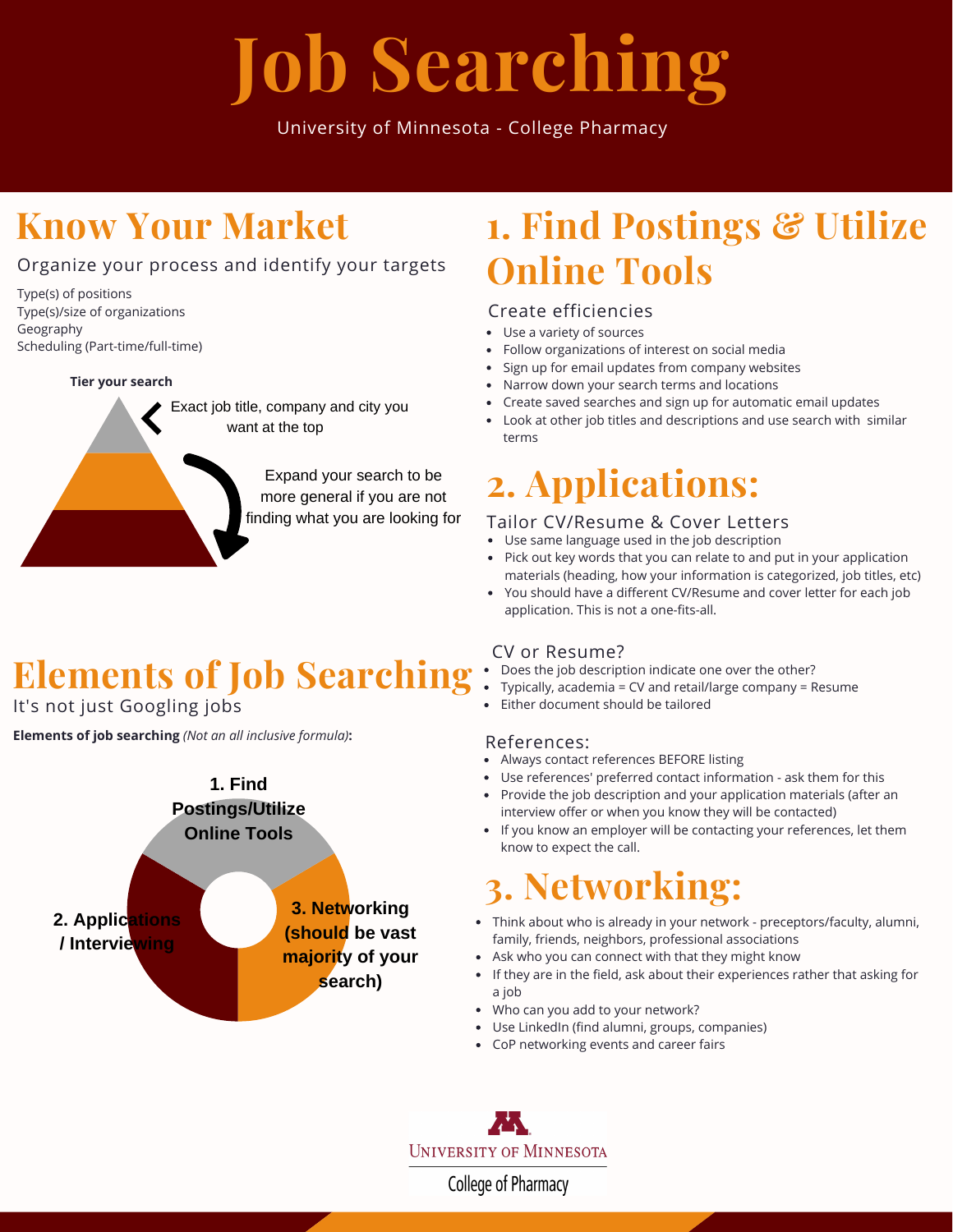# **Job Searching**

University of Minnesota - College Pharmacy

## **Know Your Market**

### Organize your process and identify your targets

Type(s) of positions Type(s)/size of organizations Geography Scheduling (Part-time/full-time)

#### **Tier your search**



# Elements of Job Searching: Does the job description indicate one over the other?

It's not just Googling jobs

**Elements of job searching** *(Not an all inclusive formula)***:**



## **1. Find Postings & Utilize Online Tools**

#### Create efficiencies

- Use a variety of sources
- Follow organizations of interest on social media
- Sign up for email updates from company websites
- Narrow down your search terms and locations
- Create saved searches and sign up for automatic email updates
- Look at other job titles and descriptions and use search with similar terms

## **2. Applications:**

#### Tailor CV/Resume & Cover Letters

- Use same language used in the job description
- Pick out key words that you can relate to and put in your application  $\bullet$ materials (heading, how your information is categorized, job titles, etc)
- You should have a different CV/Resume and cover letter for each job application. This is not a one-fits-all.

#### CV or Resume?

- 
- Typically, academia = CV and retail/large company = Resume
- Either document should be tailored

#### References:

- Always contact references BEFORE listing
- Use references' preferred contact information ask them for this Provide the job description and your application materials (after an
- interview offer or when you know they will be contacted) • If you know an employer will be contacting your references, let them know to expect the call.

# **3. Networking:**

- Think about who is already in your network preceptors/faculty, alumni, family, friends, neighbors, professional associations
- Ask who you can connect with that they might know
- If they are in the field, ask about their experiences rather that asking for a job
- Who can you add to your network?
- Use LinkedIn (find alumni, groups, companies)
- CoP networking events and career fairs

**UNIVERSITY OF MINNESOTA** 

College of Pharmacy